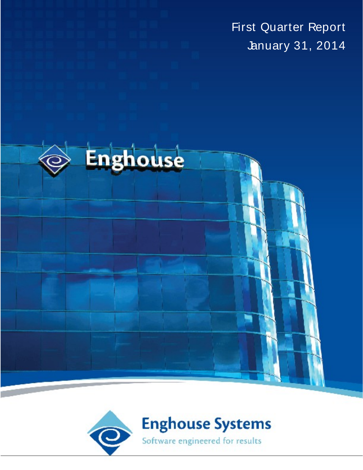First Quarter Report January 31, 2014



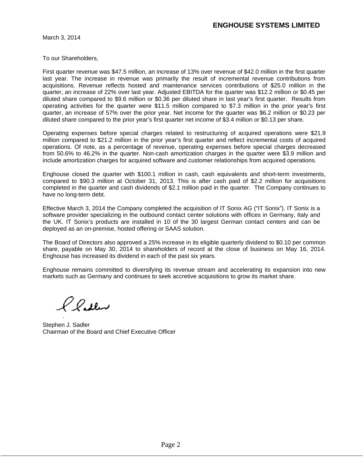March 3, 2014

To our Shareholders,

First quarter revenue was \$47.5 million, an increase of 13% over revenue of \$42.0 million in the first quarter last year. The increase in revenue was primarily the result of incremental revenue contributions from acquisitions. Revenue reflects hosted and maintenance services contributions of \$25.0 million in the quarter, an increase of 22% over last year. Adjusted EBITDA for the quarter was \$12.2 million or \$0.45 per diluted share compared to \$9.6 million or \$0.36 per diluted share in last year's first quarter. Results from operating activities for the quarter were \$11.5 million compared to \$7.3 million in the prior year's first quarter, an increase of 57% over the prior year. Net income for the quarter was \$6.2 million or \$0.23 per diluted share compared to the prior year's first quarter net income of \$3.4 million or \$0.13 per share.

Operating expenses before special charges related to restructuring of acquired operations were \$21.9 million compared to \$21.2 million in the prior year's first quarter and reflect incremental costs of acquired operations. Of note, as a percentage of revenue, operating expenses before special charges decreased from 50.6% to 46.2% in the quarter. Non-cash amortization charges in the quarter were \$3.9 million and include amortization charges for acquired software and customer relationships from acquired operations.

Enghouse closed the quarter with \$100.1 million in cash, cash equivalents and short-term investments, compared to \$90.3 million at October 31, 2013. This is after cash paid of \$2.2 million for acquisitions completed in the quarter and cash dividends of \$2.1 million paid in the quarter. The Company continues to have no long-term debt.

Effective March 3, 2014 the Company completed the acquisition of IT Sonix AG ("IT Sonix"). IT Sonix is a software provider specializing in the outbound contact center solutions with offices in Germany, Italy and the UK. IT Sonix's products are installed in 10 of the 30 largest German contact centers and can be deployed as an on-premise, hosted offering or SAAS solution.

The Board of Directors also approved a 25% increase in its eligible quarterly dividend to \$0.10 per common share, payable on May 30, <sup>2014</sup> to shareholders of record at the close of business on May 16, 2014. Enghouse has increased its dividend in each of the past six years.

Enghouse remains committed to diversifying its revenue stream and accelerating its expansion into new markets such as Germany and continues to seek accretive acquisitions to grow its market share.

l l**is**ley

Stephen J. Sadler Chairman of the Board and Chief Executive Officer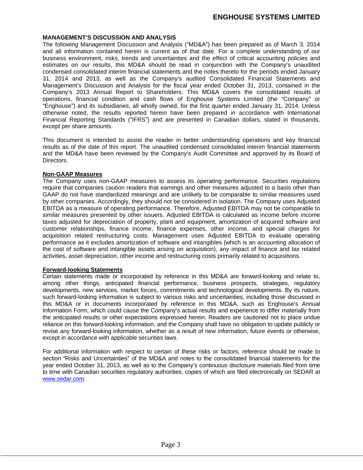# **ENGHOUSE SYSTEMS LIMITED**

# **MANAGEMENT S DISCUSSION AND ANALYSIS**

The following Management Discussion and Analysis ("MD&A") has been prepared as of March 3, 2014 and all information contained herein is current as of that date. For a complete understanding of our business environment, risks, trends and uncertainties and the effect of critical accounting policies and estimates on our results, this MD&A should be read in conjunction with the Company's unaudited condensed consolidated interim financial statements and the notes thereto for the periods ended January 31, 2014 and 2013, as well as the Company's audited Consolidated Financial Statements and Management's Discussion and Analysis for the fiscal year ended October 31, 2013, contained in the Company s 2013 Annual Report to Shareholders. This MD&A covers the consolidated results of operations, financial condition and cash flows of Enghouse Systems Limited (the "Company" or "Enghouse") and its subsidiaries, all wholly owned, for the first quarter ended January 31, 2014. Unless otherwise noted, the results reported herein have been prepared in accordance with International Financial Reporting Standards ("IFRS") and are presented in Canadian dollars, stated in thousands, except per share amounts.

This document is intended to assist the reader in better understanding operations and key financial results as of the date of this report. The unaudited condensed consolidated interim financial statements and the MD&A have been reviewed by the Company's Audit Committee and approved by its Board of Directors.

# **Non-GAAP Measures**

The Company uses non-GAAP measures to assess its operating performance. Securities regulations require that companies caution readers that earnings and other measures adjusted to a basis other than GAAP do not have standardized meanings and are unlikely to be comparable to similar measures used by other companies. Accordingly, they should not be considered in isolation. The Company uses Adjusted EBITDA as a measure of operating performance. Therefore, Adjusted EBITDA may not be comparable to similar measures presented by other issuers. Adjusted EBITDA is calculated as income before income taxes adjusted for depreciation of property, plant and equipment, amortization of acquired software and customer relationships, finance income, finance expenses, other income, and special charges for acquisition related restructuring costs. Management uses Adjusted EBITDA to evaluate operating performance as it excludes amortization of software and intangibles (which is an accounting allocation of the cost of software and intangible assets arising on acquisition), any impact of finance and tax related activities, asset depreciation, other income and restructuring costs primarily related to acquisitions.

# **Forward-looking Statements**

Certain statements made or incorporated by reference in this MD&A are forward-looking and relate to, among other things, anticipated financial performance, business prospects, strategies, regulatory developments, new services, market forces, commitments and technological developments. By its nature, such forward-looking information is subject to various risks and uncertainties, including those discussed in this MD&A or in documents incorporated by reference in this MD&A, such as Enghouse's Annual Information Form, which could cause the Company's actual results and experience to differ materially from the anticipated results or other expectations expressed herein. Readers are cautioned not to place undue reliance on this forward-looking information, and the Company shall have no obligation to update publicly or revise any forward-looking information, whether as a result of new information, future events or otherwise, except in accordance with applicable securities laws.

For additional information with respect to certain of these risks or factors, reference should be made to section "Risks and Uncertainties" of the MD&A and notes to the consolidated financial statements for the year ended October 31, 2013, as well as to the Company's continuous disclosure materials filed from time to time with Canadian securities regulatory authorities, copies of which are filed electronically on SEDAR at www.sedar.com.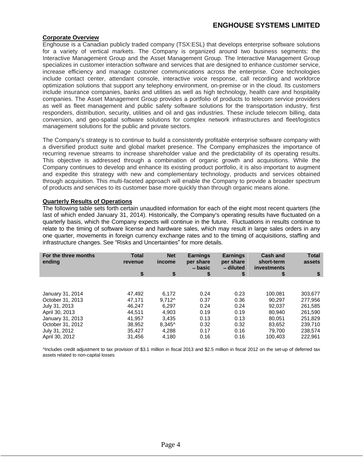# **ENGHOUSE SYSTEMS LIMITED**

# **Corporate Overview**

Enghouse is a Canadian publicly traded company (TSX:ESL) that develops enterprise software solutions for a variety of vertical markets. The Company is organized around two business segments: the Interactive Management Group and the Asset Management Group. The Interactive Management Group specializes in customer interaction software and services that are designed to enhance customer service, increase efficiency and manage customer communications across the enterprise. Core technologies include contact center, attendant console, interactive voice response, call recording and workforce optimization solutions that support any telephony environment, on-premise or in the cloud. Its customers include insurance companies, banks and utilities as well as high technology, health care and hospitality companies. The Asset Management Group provides a portfolio of products to telecom service providers as well as fleet management and public safety software solutions for the transportation industry, first responders, distribution, security, utilities and oil and gas industries. These include telecom billing, data conversion, and geo-spatial software solutions for complex network infrastructures and fleet/logistics management solutions for the public and private sectors.

The Company s strategy is to continue to build a consistently profitable enterprise software company with a diversified product suite and global market presence. The Company emphasizes the importance of recurring revenue streams to increase shareholder value and the predictability of its operating results. This objective is addressed through a combination of organic growth and acquisitions. While the Company continues to develop and enhance its existing product portfolio, it is also important to augment and expedite this strategy with new and complementary technology, products and services obtained through acquisition. This multi-faceted approach will enable the Companyto provide a broader spectrum of products and services to its customer base more quickly than through organic means alone.

# **Quarterly Results of Operations**

The following table sets forth certain unaudited information for each of the eight most recent quarters (the last of which ended January 31, 2014). Historically, the Company's operating results have fluctuated on a quarterly basis, which the Company expects will continue in the future. Fluctuations in results continue to relate to the timing of software license and hardware sales, which may result in large sales orders in any one quarter, movements in foreign currency exchange rates and to the timing of acquisitions, staffing and infrastructure changes. See "Risks and Uncertainties" for more details.

| For the three months<br>ending                                          | Total   | <b>Net</b>       | Earnin                | Earnings               | Cash and<br>short-term | <b>Total</b> |
|-------------------------------------------------------------------------|---------|------------------|-----------------------|------------------------|------------------------|--------------|
|                                                                         | revenue | income           | per share<br>$-basic$ | per share<br>- diluted | investments            | assets       |
|                                                                         |         |                  |                       |                        |                        |              |
|                                                                         |         |                  |                       |                        |                        |              |
|                                                                         |         |                  |                       |                        |                        |              |
|                                                                         | 47,492  | 6,172            | 0.24                  | 0.23                   | 100,08                 | 303,677      |
|                                                                         | 47,171  | $9,712^{\wedge}$ | 0.37                  | 0.36                   | 90,297                 | 277,956      |
| January 31, 2014<br>October 31, 2013<br>July 31, 2013<br>April 30, 2013 | 46,247  | 6,297            | 0.24                  | 0.24                   | 92,037                 | 261,585      |
|                                                                         | 44,511  | 4,903            | 0.19                  | 0.19                   | 80,940                 | 261,590      |
|                                                                         | 41,957  | 3,435            | 0.13                  | 0.13                   | 80,051                 | 251,829      |
|                                                                         | 38,952  | 8,345^           | 0.32                  | 0.32                   | 83,652                 | 239,710      |
|                                                                         | 35,427  | 4,288            | 0.17                  | 0.16                   | 79,700                 | 238,574      |
| January 31, 2013<br>October 31, 2012<br>July 31, 2012<br>April 30, 2012 | 31,456  | 4,180            | 0.16                  | 0.16                   | 100,403                | 222,961      |

^Includes credit adjustment to tax provision of \$3.1 million in fiscal 2013 and \$2.5 million in fiscal 2012 on the set-up of deferred tax assets related to non-capital losses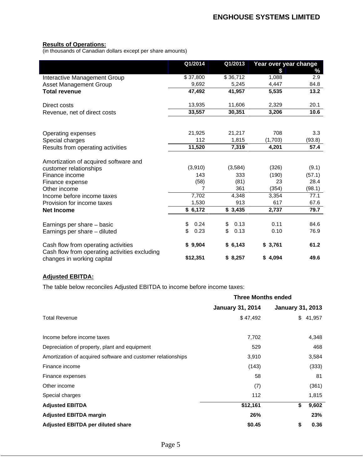#### **Results of Operations:**

(in thousands of Canadian dollars except per share amounts)

|                                               | Q1/2014                                                                                                                                                                                                                                                                                                                                                                                                                                                                                                                                                          | Q1/2013  | Year over year change |                   |
|-----------------------------------------------|------------------------------------------------------------------------------------------------------------------------------------------------------------------------------------------------------------------------------------------------------------------------------------------------------------------------------------------------------------------------------------------------------------------------------------------------------------------------------------------------------------------------------------------------------------------|----------|-----------------------|-------------------|
|                                               |                                                                                                                                                                                                                                                                                                                                                                                                                                                                                                                                                                  |          |                       |                   |
| Interactive Management Group                  | \$37,800                                                                                                                                                                                                                                                                                                                                                                                                                                                                                                                                                         | \$36,712 | 1,088                 |                   |
| Asset Management Group                        | 9,692                                                                                                                                                                                                                                                                                                                                                                                                                                                                                                                                                            | 5,245    | 4,447                 | 84.8              |
| <b>Total revenue</b>                          | $\begin{array}{c} \begin{array}{c} \begin{array}{c} \begin{array}{c} \end{array} \\ \end{array} \end{array} \end{array} \end{array} \end{array} \end{array} \begin{array}{c} \begin{array}{c} \begin{array}{c} \end{array} \\ \end{array} \end{array} \end{array} \begin{array}{c} \begin{array}{c} \begin{array}{c} \end{array} \\ \end{array} \end{array} \begin{array}{c} \begin{array}{c} \end{array} \end{array} \end{array} \begin{array}{c} \begin{array}{c} \end{array} \end{array} \end{array} \begin{array}{c} \begin{array}{c} \end{array}$<br>47,492 | 41,957   | 5,535                 | $\overline{13.2}$ |
| Direct costs                                  | 13,935                                                                                                                                                                                                                                                                                                                                                                                                                                                                                                                                                           | 11,606   | 2,329                 | 20.1              |
| Revenue, net of direct costs                  | $\overline{\qquad \qquad }$<br>the contract of the contract of the                                                                                                                                                                                                                                                                                                                                                                                                                                                                                               | 30,351   | 3,206                 | $\overline{10.6}$ |
|                                               |                                                                                                                                                                                                                                                                                                                                                                                                                                                                                                                                                                  |          |                       |                   |
|                                               | 21,925                                                                                                                                                                                                                                                                                                                                                                                                                                                                                                                                                           | 21,217   | 708                   | 3.3               |
| Operating expenses<br>Special charges         | 112                                                                                                                                                                                                                                                                                                                                                                                                                                                                                                                                                              | 1,815    | (1,703)               | (93.8)            |
| Results from operating activities             | 11,520                                                                                                                                                                                                                                                                                                                                                                                                                                                                                                                                                           | 7,319    | 4,201                 | 57.4              |
| Amortization of acquired software and         |                                                                                                                                                                                                                                                                                                                                                                                                                                                                                                                                                                  |          |                       |                   |
| customer relationships                        | (3,910)                                                                                                                                                                                                                                                                                                                                                                                                                                                                                                                                                          | (3, 584) | (326)                 | (9.1)             |
| Finance income                                | 143                                                                                                                                                                                                                                                                                                                                                                                                                                                                                                                                                              | 333      | (190)                 | (57.1)            |
| Finance expense                               | (58)                                                                                                                                                                                                                                                                                                                                                                                                                                                                                                                                                             | (81)     | 23                    | 28.4              |
| Other income                                  |                                                                                                                                                                                                                                                                                                                                                                                                                                                                                                                                                                  | 361      | (354)                 | (98.1)            |
| Income before income taxes                    | 7,702                                                                                                                                                                                                                                                                                                                                                                                                                                                                                                                                                            | 4,348    | 3,354                 | $\overline{77}$ . |
| Provision for income taxes                    | 1,530                                                                                                                                                                                                                                                                                                                                                                                                                                                                                                                                                            | 913      | 617                   | 67 <sub>6</sub>   |
| <b>Net Income</b>                             | $\frac{1}{2}$ \$ 6,172                                                                                                                                                                                                                                                                                                                                                                                                                                                                                                                                           | \$3,435  | 2,737                 | 79.7              |
| Earnings per share - basic                    | \$ 0.24                                                                                                                                                                                                                                                                                                                                                                                                                                                                                                                                                          | \$0.13   | 0.11                  | 84.6              |
| Earnings per share - diluted                  | \$0.23                                                                                                                                                                                                                                                                                                                                                                                                                                                                                                                                                           | \$0.13   | 0.10                  | 76.9              |
|                                               |                                                                                                                                                                                                                                                                                                                                                                                                                                                                                                                                                                  |          |                       |                   |
| Cash flow from operating activities           | \$9,904                                                                                                                                                                                                                                                                                                                                                                                                                                                                                                                                                          | \$6,143  | \$3,761               | 61.2              |
| Cash flow from operating activities excluding |                                                                                                                                                                                                                                                                                                                                                                                                                                                                                                                                                                  |          |                       |                   |
| changes in working capital                    | \$12,351                                                                                                                                                                                                                                                                                                                                                                                                                                                                                                                                                         | \$8,257  | \$4,094               | 49.6              |

# **Adjusted EBITDA:**

The table below reconciles Adjusted EBITDA to income before income taxes:

|                                                              | <b>Three Months ended</b> |                         |
|--------------------------------------------------------------|---------------------------|-------------------------|
|                                                              | <b>January 31, 2014</b>   | <b>January 31, 2013</b> |
| <b>Total Revenue</b>                                         | \$47,492                  | \$41,957                |
| Income before income taxes                                   | 7,702                     | 4,348                   |
| Depreciation of property, plant and equipment                | 529                       | 468                     |
| Amortization of acquired software and customer relationships | 3,910                     | 3,584                   |
| Finance income                                               | (143)                     | (333)                   |
| Finance expenses                                             | E O                       |                         |
| Other income                                                 |                           | (361)                   |
| Special charges                                              | 112                       | 1,815                   |
| <b>Adjusted EBITDA</b>                                       | \$12,161                  | \$ 9,602                |
| <b>Adjusted EBITDA margin</b>                                | 26%                       | 23%                     |
| Adjusted EBITDA per diluted share                            | \$0.45                    | 0.36                    |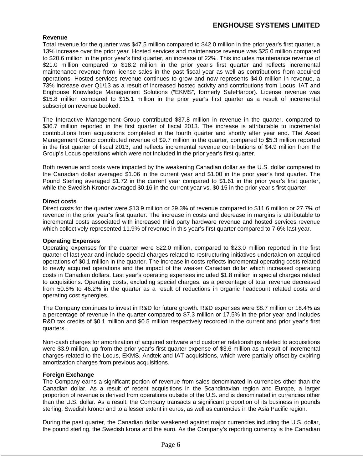# **Revenue**

Total revenue for the quarter was \$47.5 million compared to \$42.0 million in the prior year's first quarter, a 13% increase over the prior year. Hosted services and maintenance revenue was \$25.0 million compared to \$20.6 million in the prior year's first quarter, an increase of 22%. This includes maintenance revenue of \$21.0 million compared to \$18.2 million in the prior year's first quarter and reflects incremental maintenance revenue from license sales in the past fiscal year as well as contributions from acquired operations. Hosted services revenue continues to grow and now represents \$4.0 million in revenue, a 73% increase over Q1/13 as a result of increased hosted activity and contributions from Locus, IAT and Enghouse Knowledge Management Solutions ( EKMS , formerly SafeHarbor). License revenue was \$15.8 million compared to \$15.1 million in the prior year's first quarter as a result of incremental subscription revenue booked.

The Interactive Management Group contributed \$37.8 million in revenue in the quarter, compared to \$36.7 million reported in the first quarter of fiscal 2013. The increase is attributable to incremental contributions from acquisitions completed in the fourth quarter and shortly after year end. The Asset Management Group contributed revenue of \$9.7 million in the quarter, compared to \$5.3 million reported in the first quarter of fiscal 2013, and reflects incremental revenue contributions of \$4.9 million from the Group's Locus operations which were not included in the prior year's first quarter.

Both revenue and costs were impacted by the weakening Canadian dollar as the U.S. dollar compared to the Canadian dollar averaged \$1.06 in the current year and \$1.00 in the prior year's first quarter. The Pound Sterling averaged \$1.72 in the current year compared to \$1.61 in the prior year's first quarter, while the Swedish Kronor averaged \$0.16 in the current year vs. \$0.15 in the prior year's first quarter.

# **Direct costs**

Direct costs for the quarter were \$13.9 million or 29.3% of revenue compared to \$11.6 million or 27.7% of revenue in the prior year's first quarter. The increase in costs and decrease in margins is attributable to incremental costs associated with increased third party hardware revenue and hosted services revenue which collectively represented 11.9% of revenue in this year's first quarter compared to 7.6% last year.

# **Operating Expenses**

Operating expenses for the quarter were \$22.0 million, compared to \$23.0 million reported in the first quarter of last year and include special charges related to restructuring initiatives undertaken on acquired operations of \$0.1 million in the quarter. The increase in costs reflects incremental operating costs related to newly acquired operations and the impact of the weaker Canadian dollar which increased operating costs in Canadian dollars. Last year's operating expenses included \$1.8 million in special charges related to acquisitions. Operating costs, excluding special charges, as a percentage of total revenue decreased from 50.6% to 46.2% in the quarter as a result of reductions in organic headcount related costs and operating cost synergies.

The Company continues to invest in R&D for future growth. R&D expenses were \$8.7 million or 18.4% as a percentage of revenue in the quarter compared to \$7.3 million or 17.5% in the prior year and includes R&D tax credits of \$0.1 million and \$0.5 million respectively recorded in the current and prior year's first discussed and the contract of the contract of the contract of the contract of the contract of the contract of the contract of the contract of the contract of the contract of the contract of the contract of the contract of

Non-cash charges for amortization of acquired software and customer relationships related to acquisitions were \$3.9 million, up from the prior year's first quarter expense of \$3.6 million as a result of incremental charges related to the Locus, EKMS, Andtek and IAT acquisitions, which were partially offset by expiring amortization charges from previous acquisitions.

# **Foreign Exchange**

The Company earns a significant portion of revenue from sales denominated in currencies other than the Canadian dollar. As a result of recent acquisitions in the Scandinavian region and Europe, a larger proportion of revenue is derived from operations outside of the U.S. and is denominated in currencies other than the U.S. dollar. As a result, the Company transacts a significant proportion of its business in pounds sterling, Swedish kronor and to a lesser extent in euros, as well as currencies in the Asia Pacific region.

During the past quarter, the Canadian dollar weakened against major currencies including the U.S. dollar, the pound sterling, the Swedish krona and the euro. As the Company's reporting currency is the Canadian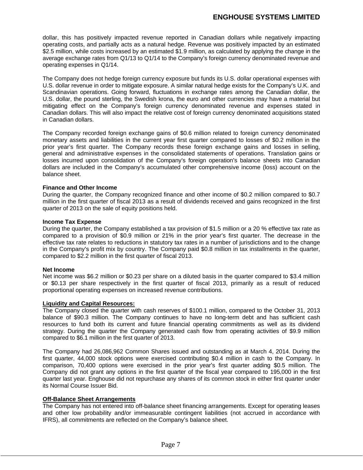dollar, this has positively impacted revenue reported in Canadian dollars while negatively impacting operating costs, and partially acts as a natural hedge. Revenue was positively impacted by an estimated \$2.5 million, while costs increased by an estimated \$1.9 million, as calculated by applying the change in the average exchange rates from Q1/13 to Q1/14 to the Company's foreign currency denominated revenue and operating expenses in Q1/14.

The Company does not hedge foreign currency exposure but funds its U.S. dollar operational expenses with U.S. dollar revenue in order to mitigate exposure. A similar natural hedge exists for the Company's U.K. and Scandinavian operations. Going forward, fluctuations in exchange rates among the Canadian dollar, the U.S. dollar, the pound sterling, the Swedish krona, the euro and other currencies may have a material but mitigating effect on the Company's foreign currency denominated revenue and expenses stated in Canadian dollars. This will also impact the relative cost of foreign currency denominated acquisitions stated in Canadian dollars.

The Company recorded foreign exchange gains of \$0.6 million related to foreign currency denominated monetary assets and liabilities in the current year first quarter compared to losses of \$0.2 million in the prior year's first quarter. The Company records these foreign exchange gains and losses in selling, general and administrative expenses in the consolidated statements of operations. Translation gains or losses incurred upon consolidation of the Company's foreign operation's balance sheets into Canadian dollars are included in the Company's accumulated other comprehensive income (loss) account on the balance sheet.

# **Finance and Other Income**

During the quarter, the Company recognized finance and other income of \$0.2 million compared to \$0.7 million in the first quarter of fiscal 2013 as a result of dividends received and gains recognized in the first quarter of 2013 on the sale of equity positions held.

# **Income Tax Expense**

During the quarter, the Company established a tax provision of \$1.5 million or a 20 % effective tax rate as compared to a provision of \$0.9 million or 21% in the prior year's first quarter. The decrease in the effective tax rate relates to reductions in statutory tax rates in a number of jurisdictions and to the change in the Company's profit mix by country. The Company paid \$0.8 million in tax installments in the quarter, compared to \$2.2 million in the first quarter of fiscal 2013.

# **Net Income**

Net income was \$6.2 million or \$0.23 per share on a diluted basis in the quarter compared to \$3.4 million or \$0.13 per share respectively in the first quarter of fiscal 2013, primarily as a result of reduced proportional operating expenses on increased revenue contributions.

# **Liquidity and Capital Resources:**

The Company closed the quarter with cash reserves of \$100.1 million, compared to the October 31, 2013 balance of \$90.3 million. The Company continues to have no long-term debt and has sufficient cash resources to fund both its current and future financial operating commitments as well as its dividend strategy. During the quarter the Company generated cash flow from operating activities of \$9.9 million

compared to \$6.1 million in the first quarter of 2013.<br>The Company had 26,086,962 Common Shares issued and outstanding as at March 4, 2014. During the first quarter, 44,000 stock options were exercised contributing \$0.4 million in cash to the Company. In comparison, 70,400 options were exercised in the prior year's first quarter adding \$0.5 million. The Company did not grant any options in the first quarter of the fiscal year compared to 195,000 in the first quarter last year. Enghouse did not repurchase any shares of its common stock in either first quarter under its Normal Course Issuer Bid.

# **Off-Balance Sheet Arrangements**

The Company has not entered into off-balance sheet financing arrangements. Except for operating leases and other low probability and/or immeasurable contingent liabilities (not accrued in accordance with IFRS), all commitments are reflected on the Company's balance sheet.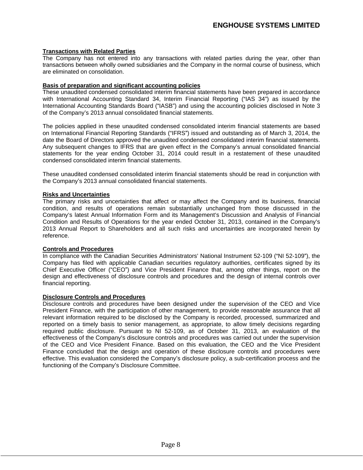# **Transactions with Related Parties**

The Company has not entered into any transactions with related parties during the year, other than transactions between wholly owned subsidiaries and the Company in the normal course of business, which are eliminated on consolidation.

# **Basis of preparation and significant accounting policies**

These unaudited condensed consolidated interim financial statements have been prepared in accordance with International Accounting Standard 34, Interim Financial Reporting ("IAS 34") as issued by the International Accounting Standards Board ("IASB") and using the accounting policies disclosed in Note 3 of the Company's 2013 annual consolidated financial statements.

The policies applied in these unaudited condensed consolidated interim financial statements are based on International Financial Reporting Standards ("IFRS") issued and outstanding as of March 3, 2014, the date the Board of Directors approved the unaudited condensed consolidated interim financial statements. Any subsequent changes to IFRS that are given effect in the Company's annual consolidated financial statements for the year ending October 31, 2014 could result in a restatement of these unaudited condensed consolidated interim financial statements.

These unaudited condensed consolidated interim financial statements should be read in conjunction with the Company's 2013 annual consolidated financial statements.

# **Risks and Uncertainties**

The primary risks and uncertainties that affect or may affect the Company and its business, financial condition, and results of operations remain substantially unchanged from those discussed in the Company's latest Annual Information Form and its Management's Discussion and Analysis of Financial Condition and Results of Operations for the year ended October 31, 2013, contained in the Company's 2013 Annual Report to Shareholders and all such risks and uncertainties are incorporated herein by reference. The contract of the contract of the contract of the contract of the contract of the contract of the contract of the contract of the contract of the contract of the contract of the contract of the contract of the

# **Controls and Procedures**

In compliance with the Canadian Securities Administrators' National Instrument 52-109 ("NI 52-109"), the Company has filed with applicable Canadian securities regulatory authorities, certificates signed by its Chief Executive Officer ("CEO") and Vice President Finance that, among other things, report on the design and effectiveness of disclosure controls and procedures and the design of internal controls over financial reporting.

# **Disclosure Controls and Procedures**

Disclosure controls and procedures have been designed under the supervision of the CEO and Vice President Finance, with the participation of other management, to provide reasonable assurance that all relevant information required to be disclosed by the Company is recorded, processed, summarized and reported on a timely basis to senior management, as appropriate, to allow timely decisions regarding required public disclosure. Pursuant to NI 52-109, as of October 31, 2013, an evaluation of the effectiveness of the Company's disclosure controls and procedures was carried out under the supervision of the CEO and Vice President Finance. Based on this evaluation, the CEO and the Vice President Finance concluded that the design and operation of these disclosure controls and procedures were effective. This evaluation considered the Company's disclosure policy, a sub-certification process and the functioning of the Company's Disclosure Committee.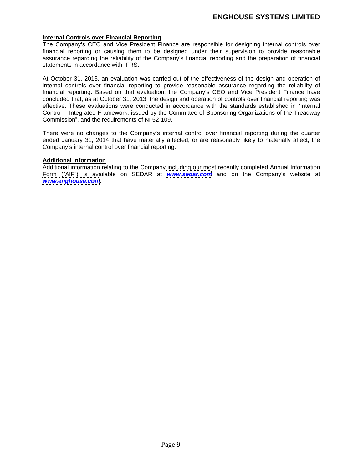# **Internal Controls over Financial Reporting**

The Company's CEO and Vice President Finance are responsible for designing internal controls over financial reporting or causing them to be designed under their supervision to provide reasonable assurance regarding the reliability of the Company's financial reporting and the preparation of financial

statements in accordance with IFRS.<br>At October 31, 2013, an evaluation was carried out of the effectiveness of the design and operation of internal controls over financial reporting to provide reasonable assurance regarding the reliability of financial reporting. Based on that evaluation, the Company's CEO and Vice President Finance have concluded that, as at October 31, 2013, the design and operation of controls over financial reporting was effective. These evaluations were conducted in accordance with the standards established in "Internal Control – Integrated Framework, issued by the Committee of Sponsoring Organizations of the Treadway Commission", and the requirements of NI 52-109.

There were no changes to the Company's internal control over financial reporting during the quarter ended January 31, 2014 that have materially affected, or are reasonably likely to materially affect, the Company's internal control over financial reporting.

#### **Additional Information**

Additional information relating to the Company including our most recently completed Annual Information Form ("AIF") is available on SEDAR at **[www.sedar.com](http://www.sedar.com)** and on the Company's website at **[www.enghouse.com](http://www.enghouse.com)**.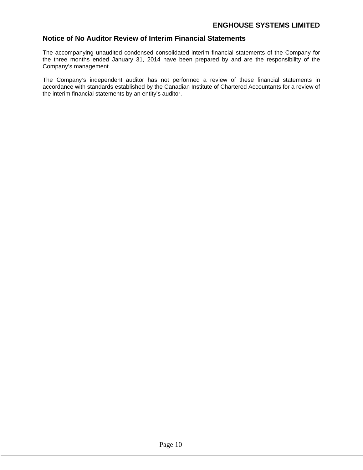# **Notice of No Auditor Review of Interim Financial Statements**

The accompanying unaudited condensed consolidated interim financial statements of the Company for the three months ended January 31, 2014 have been prepared byand are the responsibility of the Company's management.

The Company's independent auditor has not performed a review of these financial statements in accordance with standards established by the Canadian Institute of Chartered Accountants for a review of the interim financial statements by an entity's auditor.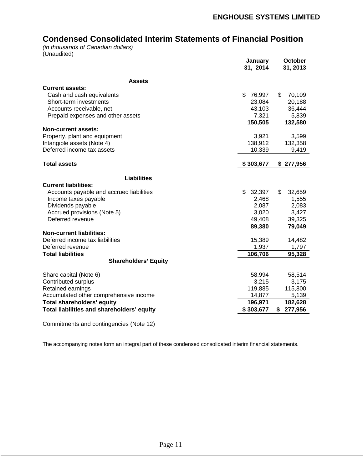# **Condensed Consolidated Interim Statements of Financial Position**

(in thousands of Canadian dollars)<br>(Unaudited) (Unaudited)

|                                            | January             | October      |
|--------------------------------------------|---------------------|--------------|
|                                            | 31, 2014            | 31, 2013     |
| <b>Assets</b>                              |                     |              |
| <b>Current assets:</b>                     |                     |              |
| Cash and cash equivalents                  | \$76,997            | 70,109<br>\$ |
| Short-term investments                     | 23,084              | 20,188       |
| Accounts receivable, net                   | 43,103              | 36,444       |
| Prepaid expenses and other assets          | 7,321               | 5,839        |
|                                            | 150,505             | 132,580      |
| <b>Non-current assets:</b>                 |                     |              |
| Property, plant and equipment              | 3,921               | 3,599        |
| Intangible assets (Note 4)                 | 138,912             | 132,358      |
| Deferred income tax assets                 | 10,339              | 9,419        |
|                                            |                     |              |
| <b>Total assets</b>                        | \$303,677 \$277,956 |              |
|                                            |                     |              |
| <b>Liabilities</b>                         |                     |              |
| <b>Current liabilities:</b>                |                     |              |
| Accounts payable and accrued liabilities   | \$32,397            | 32,659<br>\$ |
| Income taxes payable                       | 2,468               | 1,555        |
| Dividends payable                          | 2,087               | 2,083        |
| Accrued provisions (Note 5)                | 3,020               | 3,427        |
| Deferred revenue                           | 49,408              | 39,325       |
|                                            | 89,380              | 79,049       |
| <b>Non-current liabilities:</b>            |                     |              |
| Deferred income tax liabilities            | 15,389              | 14,482       |
| Deferred revenue                           | 1,937               | 1,797        |
| <b>Total liabilities</b>                   | 106,706             | 95,328       |
| <b>Shareholders' Equity</b>                |                     |              |
|                                            |                     |              |
| Share capital (Note 6)                     | 58,994              | 58,514       |
| Contributed surplus                        | 3,215               | 3,175        |
| Retained earnings                          | 119,885             | 115,800      |
| Accumulated other comprehensive income     | 14,877              | 5,139        |
| Total shareholders' equity                 | 196,971             | 182,628      |
| Total liabilities and shareholders' equity | \$303,677           | \$277,956    |
|                                            |                     |              |
|                                            |                     |              |

Commitments and contingencies (Note 12)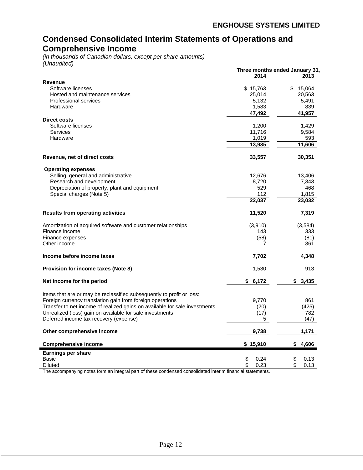# **Condensed Consolidated Interim Statements of Operations and Comprehensive Income**

(in thousands of Canadian dollars, except per share amounts) (Unaudited)

|                                                                            |                | Three months ended January 31, |
|----------------------------------------------------------------------------|----------------|--------------------------------|
|                                                                            | 2014           | 2013                           |
| Revenue                                                                    |                |                                |
| Software licenses                                                          | \$15,763       | \$15,064                       |
| Hosted and maintenance services                                            | 25,014         | 20,563                         |
| Professional services                                                      | 5,132          | 5,491                          |
| Hardware                                                                   | 1,583          | 839                            |
|                                                                            |                |                                |
|                                                                            | 47,492         | 41,957                         |
| <b>Direct costs</b>                                                        |                |                                |
| Software licenses                                                          | 1,200          | 1,429                          |
| Services                                                                   | 11,716         | 9,584                          |
| Hardware                                                                   | 1,019          | 593                            |
|                                                                            | 13,935         | 11,606                         |
|                                                                            |                |                                |
| Revenue, net of direct costs                                               | 33,557         | 30,351                         |
| <b>Operating expenses</b>                                                  |                |                                |
| Selling, general and administrative                                        | 12,676         | 13,406                         |
| Research and development                                                   | 8,720          | 7,343                          |
| Depreciation of property, plant and equipment                              | 529            | 468                            |
|                                                                            | 112            | 1,815                          |
| Special charges (Note 5)                                                   |                |                                |
|                                                                            | 22,037         | 23,032                         |
| <b>Results from operating activities</b>                                   | 11,520         | 7,319                          |
|                                                                            |                |                                |
| Amortization of acquired software and customer relationships               | (3,910)        | (3, 584)                       |
| Finance income                                                             | 143            | 333                            |
| Finance expenses                                                           | (58)           | (81)                           |
| Other income                                                               | $\overline{7}$ | 361                            |
|                                                                            |                |                                |
| Income before income taxes                                                 | 7,702          | 4,348                          |
|                                                                            |                |                                |
| <b>Provision for income taxes (Note 8)</b>                                 | 1,530          | 913                            |
|                                                                            |                |                                |
| Net income for the period                                                  | \$6,172        | \$3,435                        |
|                                                                            |                |                                |
| Items that are or may be reclassified subsequently to profit or loss:      |                |                                |
| Foreign currency translation gain from foreign operations                  | 9,770          | 861                            |
| Transfer to net income of realized gains on available for sale investments | (20)           | (425)                          |
|                                                                            |                |                                |
| Unrealized (loss) gain on available for sale investments                   | (17)           | 782                            |
| Deferred income tax recovery (expense)                                     |                | (47)                           |
| Other comprehensive income                                                 | 9,738          | 1,171                          |
|                                                                            |                |                                |
| <b>Comprehensive income</b>                                                | \$15,910       | \$4,606                        |
| <b>Earnings per share</b>                                                  |                |                                |
| Basic                                                                      | 0.24           | 0.13<br>\$                     |
| <b>Diluted</b>                                                             | 0.23           | 0.13<br>\$                     |
|                                                                            |                |                                |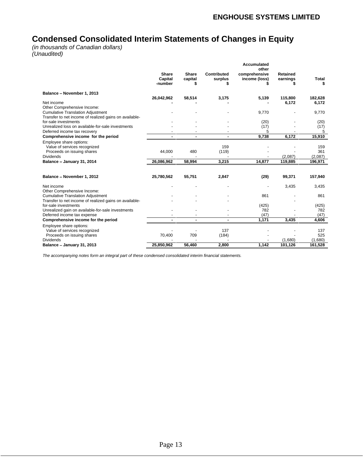# **Condensed Consolidated Interim Statements of Changes in Equity**

(in thousands of Canadian dollars) (Unaudited)

|                                                        |                                                                              |                                            |             | Accumulated              |                          |                  |
|--------------------------------------------------------|------------------------------------------------------------------------------|--------------------------------------------|-------------|--------------------------|--------------------------|------------------|
|                                                        |                                                                              |                                            |             | other                    |                          |                  |
|                                                        | Share                                                                        | Share                                      | Contributed | comprehensive            | Retained                 |                  |
|                                                        | Capital                                                                      | capital                                    | surplus     | income (loss)            | earnings                 | Total            |
|                                                        | -number                                                                      |                                            |             |                          |                          |                  |
| Balance - November 1, 2013                             |                                                                              |                                            |             |                          |                          |                  |
|                                                        | 26,042,962                                                                   | 58,514                                     |             | 5,139                    | 115,800                  | 182,628          |
| Net income                                             | $\sim$                                                                       |                                            | 3,175       | $\sim$                   | 6.172                    | 6,172            |
| Other Comprehensive Income:                            |                                                                              |                                            |             |                          |                          |                  |
| <b>Cumulative Translation Adjustment</b>               | $\sim$                                                                       |                                            |             | 9,770                    | $\sim$                   | 9,770            |
| Transfer to net income of realized gains on available- |                                                                              |                                            |             |                          |                          |                  |
| for-sale investments                                   | $\sim$                                                                       |                                            |             | (20)                     |                          | (20)             |
| Unrealized loss on available-for-sale investments      | $\sim$                                                                       |                                            |             | (17)                     | $\overline{\phantom{a}}$ | (17)             |
| Deferred income tax recovery                           | <b>Service</b>                                                               | <b>Contract Contract</b>                   |             |                          | $\sim$                   |                  |
| Comprehensive income for the period                    | <b>Contract Contract Contract Contract</b><br><b>Contract Contract State</b> | <b>Contract Contract Contract Contract</b> | $\sim$      | 9,738                    | 6.172                    | 15,910           |
|                                                        |                                                                              |                                            |             |                          |                          |                  |
| Employee share options:                                |                                                                              |                                            | 159         |                          |                          |                  |
| Value of services recognized                           | 44,000                                                                       |                                            |             | $\sim$                   | $\sim$                   | 159<br>361       |
| Proceeds on issuing shares<br>Dividends                |                                                                              | 480                                        | (119)       | $\sim$                   | $\sim$<br>(2.087)        | (2,087)          |
|                                                        | $\sim$ $-$                                                                   | $\sim$ $\sim$                              |             | <b>Contract Contract</b> |                          |                  |
| Balance - January 31, 2014                             | 26,086,962                                                                   | 58,994                                     | 3,215       | 14,877                   | 119,885                  | 196,971          |
|                                                        |                                                                              |                                            |             |                          |                          |                  |
|                                                        |                                                                              |                                            |             |                          |                          |                  |
| Balance - November 1, 2012                             | 25,780,562                                                                   | 55,751                                     | 2,847       | (29)                     | 99,371                   | 157,940          |
| Net income                                             |                                                                              |                                            |             |                          | 3,435                    | 3,435            |
| Other Comprehensive Income:                            | $\sim$                                                                       |                                            |             | $\sim$                   |                          |                  |
| <b>Cumulative Translation Adjustment</b>               |                                                                              |                                            |             | 861                      |                          | 861              |
| Transfer to net income of realized gains on available- | $\sim$                                                                       |                                            |             |                          | $\sim$                   |                  |
| for-sale investments                                   |                                                                              |                                            |             |                          |                          |                  |
| Unrealized gain on available-for-sale investments      | $\sim$                                                                       |                                            |             | (425)<br>782             | $\sim$                   | $(425)$<br>$782$ |
| Deferred income tax expense                            | <b>Contract Contract</b>                                                     | <b>Contract Contract Contract</b>          |             | (47)                     | $\sim$                   | (47)             |
| Comprehensive income for the period                    |                                                                              | the contract of the contract of the con-   | $\sim$      | 1.171                    | 3,435                    | 4,606            |
| Employee share options:                                |                                                                              |                                            |             |                          |                          |                  |
| Value of services recognized                           |                                                                              |                                            | 137         | $\sim$                   |                          | 137              |
| Proceeds on issuing shares                             | 70,400                                                                       | 709                                        | (184)       | $\sim$                   |                          | 525              |
| Dividends                                              |                                                                              |                                            | $\sim$      | $\sim$                   | (1.680)                  | (1,680)          |
| Balance - January 31, 2013                             | 25,850,962                                                                   | 56,460                                     | 2.800       | 1,142                    | 101,126                  | 161,528          |
|                                                        |                                                                              |                                            |             |                          |                          |                  |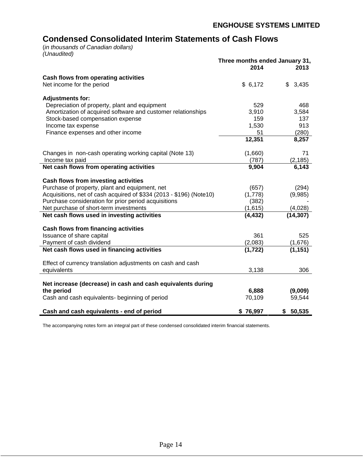# **Condensed Consolidated Interim Statements of Cash Flows**

(in thousands of Canadian dollars) (Unaudited)

|                                                                     | Three months ended January 31, |           |
|---------------------------------------------------------------------|--------------------------------|-----------|
|                                                                     | 2014                           | 2013      |
| Cash flows from operating activities                                |                                |           |
| Net income for the period                                           | \$6,172                        | \$3,435   |
| <b>Adjustments for:</b>                                             |                                |           |
| Depreciation of property, plant and equipment                       | 529                            | 468       |
| Amortization of acquired software and customer relationships        | 3,910                          | 3,584     |
| Stock-based compensation expense                                    | 159                            | 137       |
| Income tax expense                                                  | 1,530                          | 913       |
| Finance expenses and other income                                   | 51                             | (280)     |
|                                                                     | 12,351                         | 8,257     |
| Changes in non-cash operating working capital (Note 13)             | (1,660)                        | 71        |
| Income tax paid                                                     | (787)                          | (2, 185)  |
| Net cash flows from operating activities                            | 9,904                          | 6,143     |
| Cash flows from investing activities                                |                                |           |
| Purchase of property, plant and equipment, net                      | (657)                          | (294)     |
| Acquisitions, net of cash acquired of \$334 (2013 - \$196) (Note10) | (1,778)                        | (9,985)   |
| Purchase consideration for prior period acquisitions                | (382)                          |           |
| Net purchase of short-term investments                              | (1,615)                        | (4,028)   |
| Net cash flows used in investing activities                         | (4, 432)                       | (14, 307) |
| Cash flows from financing activities                                |                                |           |
| Issuance of share capital                                           | 361                            | 525       |
| Payment of cash dividend                                            | (2,083)                        | (1,676)   |
| Net cash flows used in financing activities                         | (1, 722)                       | (1, 151)  |
| Effect of currency translation adjustments on cash and cash         |                                |           |
| equivalents                                                         | 3,138                          | 306       |
|                                                                     |                                |           |
| Net increase (decrease) in cash and cash equivalents during         |                                |           |
| the period                                                          | 6,888                          | (9,009)   |
| Cash and cash equivalents- beginning of period                      | 70,109                         | 59,544    |
| Cash and cash equivalents - end of period                           | \$76,997                       | \$50,535  |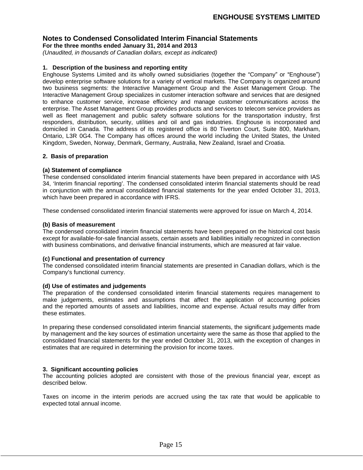**For the three months ended January 31, 2014 and 2013**

(Unaudited, in thousands of Canadian dollars, except as indicated)

# **1. Description of the business and reporting entity**

Enghouse Systems Limited and its wholly owned subsidiaries (together the "Company" or "Enghouse") develop enterprise software solutions for a variety of vertical markets. The Company is organized around two business segments: the Interactive Management Group and the Asset Management Group. The Interactive Management Group specializes in customer interaction software and services that are designed to enhance customer service, increase efficiency and manage customer communications across the enterprise. The Asset Management Group provides products and services to telecom service providers as well as fleet management and public safety software solutions for the transportation industry, first responders, distribution, security, utilities and oil and gas industries. Enghouse is incorporated and domiciled in Canada. The address of its registered office is 80 Tiverton Court, Suite 800, Markham, Ontario, L3R 0G4. The Company has offices around the world including the United States, the United Kingdom, Sweden, Norway, Denmark, Germany, Australia, New Zealand, Israel and Croatia.

# **2. Basis of preparation**

# **(a) Statement of compliance**

These condensed consolidated interim financial statements have been prepared in accordance with IAS 34, 'Interim financial reporting'. The condensed consolidated interim financial statements should be read in conjunction with the annual consolidated financial statements for the year ended October 31, 2013, which have been prepared in accordance with IFRS.

These condensed consolidated interim financial statements were approved for issue on March 4, 2014.

# **(b) Basis of measurement**

The condensed consolidated interim financial statements have been prepared on the historical cost basis except for available-for-sale financial assets, certain assets and liabilities initially recognized in connection with business combinations, and derivative financial instruments, which are measured at fair value.

# **(c) Functional and presentation of currency**

The condensed consolidated interim financial statements are presented in Canadian dollars, which is the Company's functional currency.

# **(d) Use of estimates and judgements**

The preparation of the condensed consolidated interim financial statements requires management to make judgements, estimates and assumptions that affect the application of accounting policies and the reported amounts of assets and liabilities, income and expense. Actual results may differ from these estimates.

In preparing these condensed consolidated interim financial statements, the significant judgements made by management and the key sources of estimation uncertainty were the same as those that applied to the consolidated financial statements for the year ended October 31, 2013, with the exception of changes in estimates that are required in determining the provision for income taxes.

# **3. Significant accounting policies**

The accounting policies adopted are consistent with those of the previous financial year, except as described below.

Taxes on income in the interim periods are accrued using the tax rate that would be applicable to expected total annual income.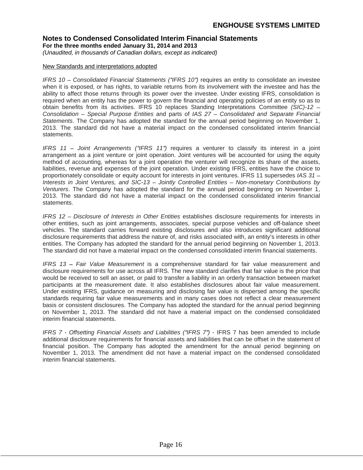**For the three months ended January 31, 2014 and 2013**

(Unaudited, in thousands of Canadian dollars, except as indicated)

# New Standards and interpretations adopted

IFRS 10 – Consolidated Financial Statements ("IFRS 10") requires an entity to consolidate an investee when it is exposed, or has rights, to variable returns from its involvement with the investee and has the ability to affect those returns through its power over the investee. Under existing IFRS, consolidation is required when an entity has the power to govern the financial and operating policies of an entity so as to obtain benefits from its activities. IFRS 10 replaces Standing Interpretations Committee (SIC)-12 -Consolidation  $-$  Special Purpose Entities and parts of IAS  $27 -$  Consolidated and Separate Financial Statements. The Company has adopted the standard for the annual period beginning on November 1, 2013. The standard did not have a material impact on the condensed consolidated interim financial statements. The contract of the contract of the contract of the contract of the contract of the contract of the contract of the contract of the contract of the contract of the contract of the contract of the contract of th

IFRS 11 - Joint Arrangements ("IFRS 11") requires a venturer to classify its interest in a joint arrangement as a joint venture or joint operation. Joint ventures will be accounted for using the equity method of accounting, whereas for a joint operation the venturer will recognize its share of the assets, liabilities, revenue and expenses of the joint operation. Under existing IFRS, entities have the choice to proportionately consolidate or equity account for interests in joint ventures. IFRS 11 supersedes IAS 31 -Interests in Joint Ventures, and SIC-13 - Jointly Controlled Entities - Non-monetary Contributions by Venturers. The Company has adopted the standard for the annual period beginning on November 1, 2013. The standard did not have a material impact on the condensed consolidated interim financial statements. The contract of the contract of the contract of the contract of the contract of the contract of the contract of the contract of the contract of the contract of the contract of the contract of the contract of th

IFRS 12 – Disclosure of Interests in Other Entities establishes disclosure requirements for interests in other entities, such as joint arrangements, associates, special purpose vehicles and off-balance sheet vehicles. The standard carries forward existing disclosures and also introduces significant additional disclosure requirements that address the nature of, and risks associated with, an entity's interests in other entities. The Company has adopted the standard for the annual period beginning on November 1, 2013. The standard did not have a material impact on the condensed consolidated interim financial statements.

IFRS  $13$  - Fair Value Measurement is a comprehensive standard for fair value measurement and disclosure requirements for use across all IFRS. The new standard clarifies that fair value is the price that would be received to sell an asset, or paid to transfer a liability in an orderly transaction between market participants at the measurement date. It also establishes disclosures about fair value measurement. Under existing IFRS, guidance on measuring and disclosing fair value is dispersed among the specific standards requiring fair value measurements and in many cases does not reflect a clear measurement basis or consistent disclosures. The Company has adopted the standard for the annual period beginning on November 1, 2013. The standard did not have a material impact on the condensed consolidated interim financial statements.

IFRS 7 - Offsetting Financial Assets and Liabilities ("IFRS 7") - IFRS 7 has been amended to include additional disclosure requirements for financial assets and liabilities that can be offset in the statement of financial position. The Company has adopted the amendment for the annual period beginning on November 1, 2013. The amendment did not have a material impact on the condensed consolidated interim financial statements. interim financial statements.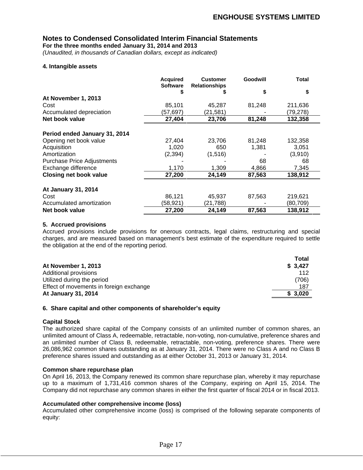**For the three months ended January 31, 2014 and 2013**

(Unaudited, in thousands of Canadian dollars, except as indicated)

# **4. Intangible assets**

|                                   | <b>Acquired</b><br>Software | <b>Customer</b><br><b>Relationships</b> | Goodwill | <b>Total</b> |
|-----------------------------------|-----------------------------|-----------------------------------------|----------|--------------|
|                                   |                             |                                         |          |              |
| At November 1, 2013               |                             |                                         |          |              |
| Cost                              | 85,101                      | 45,287                                  | 81,248   | 211,636      |
| Accumulated depreciation          | (57, 697)                   | (21, 581)                               |          | (79, 278)    |
| Net book value                    | 27,404                      | 23,706                                  | 81,248   | 132,358      |
|                                   |                             |                                         |          |              |
| Period ended January 31, 2014     |                             |                                         |          |              |
| Opening net book value            | 27,404                      | 23,706                                  | 81,248   | 132,358      |
| Acquisition                       | 1,020                       | 650                                     | 1,381    | 3,051        |
| Amortization                      | (2, 394)                    | (1, 516)                                |          | (3,910)      |
| <b>Purchase Price Adjustments</b> |                             |                                         | 68       | 68           |
| Exchange difference               | 1,170                       | 1,309                                   | 4,866    | 7,345        |
| <b>Closing net book value</b>     | 27,200                      | 24,149                                  | 87,563   | 138,912      |
| At January 31, 2014               |                             |                                         |          |              |
| Cost                              | 86,121                      | 45,937                                  | 87,563   | 219,621      |
|                                   |                             |                                         |          |              |
| Accumulated amortization          | (58, 921)                   | (21, 788)                               |          | (80, 709)    |
| Net book value                    | 27,200                      | 24,149                                  | 87,563   | 138,912      |

# **5. Accrued provisions**

Accrued provisions include provisions for onerous contracts, legal claims, restructuring and special charges, and are measured based on management's best estimate of the expenditure required to settle the obligation at the end of the reporting period.

| <b>Total</b> |
|--------------|
| \$3,427      |
|              |
| (706)        |
| 187          |
| \$3,020      |
|              |

# **6. Share capital and other components of shareholder s equity**

# **Capital Stock**

The authorized share capital of the Company consists of an unlimited number of common shares, an unlimited amount of Class A, redeemable, retractable, non-voting, non-cumulative, preference shares and an unlimited number of Class B, redeemable, retractable, non-voting, preference shares. There were 26,086,962 common shares outstanding as at January 31, 2014. There were no Class A and no Class B preference shares issued and outstanding as at either October 31, 2013 or January 31, 2014.

# **Common share repurchase plan**

On April 16, 2013, the Company renewed its common share repurchase plan, whereby it may repurchase up to a maximum of 1,731,416 common shares of the Company, expiring on April 15, 2014. The Company did not repurchase any common shares in either the first quarter of fiscal 2014 or in fiscal 2013.

# **Accumulated other comprehensive income (loss)**

Accumulated other comprehensive income (loss) is comprised of the following separate components of equity: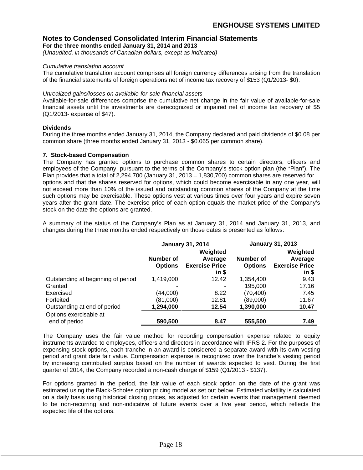**For the three months ended January 31, 2014 and 2013**

(Unaudited, in thousands of Canadian dollars, except as indicated)

#### Cumulative translation account

The cumulative translation account comprises all foreign currency differences arising from the translation of the financial statements of foreign operations net of income tax recovery of \$153 (Q1/2013- \$0).

#### Unrealized gains/losses on available-for-sale financial assets

Available-for-sale differences comprise the cumulative net change in the fair value of available-for-sale financial assets until the investments are derecognized or impaired net of income tax recovery of \$5 (Q1/2013- expense of \$47).

# **Dividends**

During the three months ended January 31, 2014, the Company declared and paid dividends of \$0.08 per common share (three months ended January 31, 2013 - \$0.065 per common share).

# **7. Stock-based Compensation**

The Company has granted options to purchase common shares to certain directors, officers and employees of the Company, pursuant to the terms of the Company's stock option plan (the "Plan"). The Plan provides that a total of 2,294,700 (January 31, 2013  $-$  1,830,700) common shares are reserved for options and that the shares reserved for options, which could become exercisable in any one year, will not exceed more than 10% of the issued and outstanding common shares of the Company at the time such options may be exercisable. These options vest at various times over four years and expire seven years after the grant date. The exercise price of each option equals the market price of the Company's stock on the date the options are granted.

A summary of the status of the Company's Plan as at January 31, 2014 and January 31, 2013, and changes during the three months ended respectively on those dates is presented as follows:

|                                    |                  | <b>January 31, 2014</b>       |           | <b>January 31, 2013</b>       |
|------------------------------------|------------------|-------------------------------|-----------|-------------------------------|
|                                    |                  | Weighted                      |           | Weighted                      |
|                                    | <b>Number of</b> | Average                       | Number of | Average                       |
|                                    |                  | <b>Options Exercise Price</b> |           | <b>Options</b> Exercise Price |
|                                    |                  | ın \$                         |           | in S                          |
| Outstanding at beginning of period | 1,419,000        | 12.42                         | 1,354,400 | 9.43                          |
| Granted                            |                  |                               | 195,000   | 17.16                         |
| Exercised                          | (44,000)         | 8.22                          | (70, 400) | 7.45                          |
| Forfeited                          | (81,000)         | 12.81                         | (89,000)  | 11.67                         |
| Outstanding at end of period       | 1,294,000        | 12.54                         | 1,390,000 | 10.47                         |
| Options exercisable at             |                  |                               |           |                               |
| end of period                      |                  |                               |           |                               |

The Company uses the fair value method for recording compensation expense related to equity instruments awarded to employees, officers and directors in accordance with IFRS 2. For the purposes of expensing stock options, each tranche in an award is considered a separate award with its own vesting period and grant date fair value. Compensation expense is recognized over the tranche's vesting period by increasing contributed surplus based on the number of awards expected to vest. During the first quarter of 2014, the Company recorded a non-cash charge of \$159 (Q1/2013 - \$137).

For options granted in the period, the fair value of each stock option on the date of the grant was estimated using the Black-Scholes option pricing model as set out below. Estimated volatility is calculated on a daily basis using historical closing prices, as adjusted for certain events that management deemed to be non-recurring and non-indicative of future events over a five year period, which reflects the expected life of the options.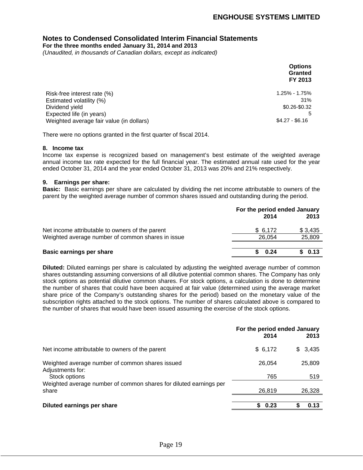**For the three months ended January 31, 2014 and 2013**

(Unaudited, in thousands of Canadian dollars, except as indicated)

|                                                                           | <b>Options</b>     |  |  |  |
|---------------------------------------------------------------------------|--------------------|--|--|--|
|                                                                           |                    |  |  |  |
|                                                                           | Granted<br>FY 2013 |  |  |  |
|                                                                           |                    |  |  |  |
| Risk-free interest rate (%)<br>Estimated volatility (%)<br>Dividend yield | 1.25% - 1.75%      |  |  |  |
|                                                                           | 31%                |  |  |  |
|                                                                           | \$0.26-\$0.32      |  |  |  |
|                                                                           |                    |  |  |  |
| Expected life (in years)<br>Weighted average fair value (in dollars)      | $$4.27 - $6.16$    |  |  |  |
|                                                                           |                    |  |  |  |

There were no options granted in the first quarter of fiscal 2014.

#### **8. Income tax**

Income tax expense is recognized based on management's best estimate of the weighted average annual income tax rate expected for the full financial year. The estimated annual rate used for the year ended October 31, 2014 and the year ended October 31, 2013 was 20% and 21% respectively.

# **9. Earnings per share:**

**Basic:** Basic earnings per share are calculated by dividing the net income attributable to owners of the parent by the weighted average number of common shares issued and outstanding during the period.

|                                                   | For the period ended January |          |  |
|---------------------------------------------------|------------------------------|----------|--|
|                                                   | 2014                         | 2013     |  |
| Net income attributable to owners of the parent   | 6,172                        | \$ 3,435 |  |
| Weighted average number of common shares in issue | 26,054                       | 25,809   |  |
| <b>Basic earnings per share</b>                   | 0.24                         | 0.13     |  |

**Diluted:** Diluted earnings per share is calculated by adjusting the weighted average number of common shares outstanding assuming conversions of all dilutive potential common shares. The Company has only stock options as potential dilutive common shares. For stock options, a calculation is done to determine the number of shares that could have been acquired at fair value (determined using the average market share price of the Company's outstanding shares for the period) based on the monetary value of the subscription rights attached to the stock options. The number of shares calculated above is compared to the number of shares that would have been issued assuming the exercise of the stock options.

|                                                                     |         | For the period ended January |  |
|---------------------------------------------------------------------|---------|------------------------------|--|
|                                                                     | 2014    | 2013                         |  |
| Net income attributable to owners of the parent                     | \$6,172 | 3,435                        |  |
| Weighted average number of common shares issued<br>Adjustments for: | 26,054  | 25,809                       |  |
| Stock options                                                       |         |                              |  |
| Weighted average number of common shares for diluted earnings per   |         |                              |  |
| share                                                               | 26,819  | 26,328                       |  |
| <b>Diluted earnings per share</b>                                   | 0.23    | 0.13                         |  |
|                                                                     |         |                              |  |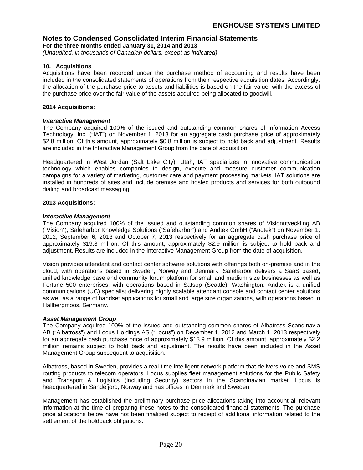**For the three months ended January 31, 2014 and 2013**

(Unaudited, in thousands of Canadian dollars, except as indicated)

# **10. Acquisitions**

Acquisitions have been recorded under the purchase method of accounting and results have been included in the consolidated statements of operations from their respective acquisition dates. Accordingly, the allocation of the purchase price to assets and liabilities is based on the fair value, with the excess of the purchase price over the fair value of the assets acquired being allocated to goodwill.

# **2014 Acquisitions:**

# **Interactive Management**

The Company acquired 100% of the issued and outstanding common shares of Information Access Technology, Inc. ("IAT") on November 1, 2013 for an aggregate cash purchase price of approximately \$2.8 million. Of this amount, approximately \$0.8 million is subject to hold back and adjustment. Results are included in the Interactive Management Group from the date of acquisition.

Headquartered in West Jordan (Salt Lake City), Utah, IAT specializes in innovative communication technology which enables companies to design, execute and measure customer communication campaigns for a variety of marketing, customer care and payment processing markets. IAT solutions are installed in hundreds of sites and include premise and hosted products and services for both outbound dialing and broadcast messaging.

# **2013 Acquisitions:**

# **Interactive Management**

The Company acquired 100% of the issued and outstanding common shares of Visionutveckling AB ("Vision"), Safeharbor Knowledge Solutions ("Safeharbor") and Andtek GmbH ("Andtek") on November 1, 2012, September 6, 2013 and October 7, 2013 respectively for an aggregate cash purchase price of approximately \$19.8 million. Of this amount, approximately \$2.9 million is subject to hold back and adjustment. Results are included in the Interactive Management Group from the date of acquisition.

Vision provides attendant and contact center software solutions with offerings both on-premise and in the cloud, with operations based in Sweden, Norway and Denmark. Safeharbor delivers a SaaS based, unified knowledge base and community forum platform for small and medium size businesses as well as Fortune 500 enterprises, with operations based in Satsop (Seattle), Washington. Andtek is a unified communications (UC) specialist delivering highly scalable attendant console and contact center solutions as well as a range of handset applications for small and large size organizations, with operations based in Hallbergmoos, Germany.

# **Asset Management Group**

The Company acquired 100% of the issued and outstanding common shares of Albatross Scandinavia AB ("Albatross") and Locus Holdings AS ("Locus") on December 1, 2012 and March 1, 2013 respectively for an aggregate cash purchase price of approximately \$13.9 million. Of this amount, approximately \$2.2 million remains subject to hold back and adjustment. The results have been included in the Asset Management Group subsequent to acquisition.

Albatross, based in Sweden, provides a real-time intelligent network platform that delivers voice and SMS routing products to telecom operators. Locus supplies fleet management solutions for the Public Safety and Transport & Logistics (including Security) sectors in the Scandinavian market. Locus is headquartered in Sandefjord, Norway and has offices in Denmark and Sweden.

Management has established the preliminary purchase price allocations taking into account all relevant information at the time of preparing these notes to the consolidated financial statements. The purchase price allocations below have not been finalized subject to receipt of additional information related to the settlement of the holdback obligations.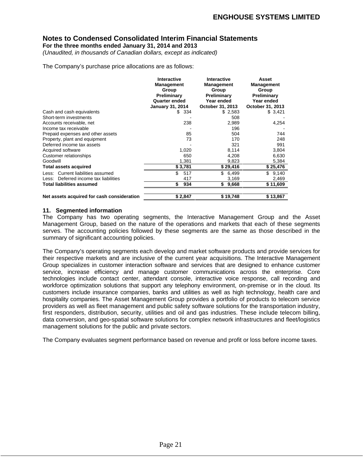**For the three months ended January 31, 2014 and 2013**

(Unaudited, in thousands of Canadian dollars, except as indicated)

The Company's purchase price allocations are as follows:

|                                             | Interactive             | Interactive      | Asset             |
|---------------------------------------------|-------------------------|------------------|-------------------|
|                                             | Management              | Management       | <b>Management</b> |
|                                             | Group                   | Group            | Group             |
|                                             | Preliminary             | Preliminary      | Preliminary       |
|                                             | Quarter ended           | Year ended       | Year ended        |
|                                             | <b>January 31, 2014</b> | October 31, 2013 | October 31, 2013  |
| Cash and cash equivalents                   | \$334                   | \$2,583          | \$3,421           |
| Short-term investments                      |                         | 508              | $\sim$            |
| Accounts receivable, net                    | 238                     | 2,989            | 4,254             |
| Income tax receivable                       |                         | 196              |                   |
| Prepaid expenses and other assets           | 85                      | 504              | 744               |
| Property, plant and equipment               |                         | 170              | 248               |
| Deferred income tax assets                  |                         | 321              | 991               |
|                                             | 1,020                   | 8,114            | 3,804             |
| Acquired software<br>Customer relationships | 650                     | 4,208            | 6,630             |
| Goodwill                                    | 1.381                   | 9,823            | 5,384             |
| <b>Total assets acquired</b>                | \$3,781                 | \$29,416         | \$25,476          |
| Less: Current liabilities assumed           | 517                     | \$6,499          | \$9,140           |
| Less: Deferred income tax liabilities       |                         | 3.169            | 2,469             |
| <b>Total liabilities assumed</b>            | 934                     | \$9,668          | \$11,609          |
| Net assets acquired for cash consideration  | \$2,847                 | \$19,748         | \$13,867          |

# **11. Segmented information**

The Company has two operating segments, the Interactive Management Group and the Asset Management Group, based on the nature of the operations and markets that each of these segments serves. The accounting policies followed by these segments are the same as those described in the summary of significant accounting policies.

The Company's operating segments each develop and market software products and provide services for their respective markets and are inclusive of the current year acquisitions. The Interactive Management Group specializes in customer interaction software and services that are designed to enhance customer service, increase efficiency and manage customer communications across the enterprise. Core technologies include contact center, attendant console, interactive voice response, call recording and workforce optimization solutions that support any telephony environment, on-premise or in the cloud. Its customers include insurance companies, banks and utilities as well as high technology, health care and hospitality companies. The Asset Management Group provides a portfolio of products to telecom service providers as well as fleet management and public safety software solutions for the transportation industry, first responders, distribution, security, utilities and oil and gas industries. These include telecom billing, data conversion, and geo-spatial software solutions for complex network infrastructures and fleet/logistics management solutions for the public and private sectors.

The Company evaluates segment performance based on revenue and profit or loss before income taxes.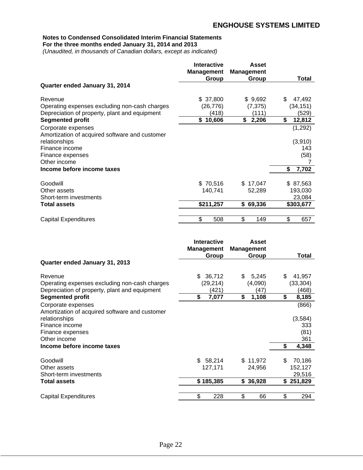**For the three months ended January 31, 2014 and 2013**

(Unaudited, in thousands of Canadian dollars, except as indicated)

|                                                | <b>Interactive</b> | <b>Asset</b>      |              |
|------------------------------------------------|--------------------|-------------------|--------------|
|                                                | <b>Management</b>  | <b>Management</b> |              |
|                                                | Group              | <b>Group</b>      | <b>Total</b> |
| Quarter ended January 31, 2014                 |                    |                   |              |
| Revenue                                        | \$37,800           | \$9,692           | 47,492       |
| Operating expenses excluding non-cash charges  | (26, 776)          | (7, 375)          | (34, 151)    |
| Depreciation of property, plant and equipment  | (418)              | (111)             | (529)        |
| <b>Segmented profit</b>                        | \$10,606           | \$2,206           | 12,812       |
| Corporate expenses                             |                    |                   | (1, 292)     |
| Amortization of acquired software and customer |                    |                   |              |
| relationships                                  |                    |                   | (3,910)      |
| Finance income                                 |                    |                   | 143          |
| Finance expenses                               |                    |                   | (58)         |
| Other income                                   |                    |                   |              |
| Income before income taxes                     |                    |                   | \$7,702      |
| Goodwill                                       | \$70,516           | \$17,047          | \$ 87,563    |
| Other assets                                   | 140,741            | 52,289            | 193,030      |
| Short-term investments                         |                    |                   | 23,084       |
| <b>Total assets</b>                            | \$211,257          |                   |              |
|                                                |                    | \$69,336          | \$303,677    |
| <b>Capital Expenditures</b>                    | 508                | 149               | 657          |

|                                                | Interactive<br><b>Management</b> | <b>Asset</b><br><b>Management</b> |                      |
|------------------------------------------------|----------------------------------|-----------------------------------|----------------------|
|                                                | Group                            | Group                             | <b>Total</b>         |
| Quarter ended January 31, 2013                 |                                  |                                   |                      |
| Revenue                                        | \$36,712                         | 5,245                             | 41,957               |
| Operating expenses excluding non-cash charges  | (29, 214)                        | (4,090)                           | (33, 304)            |
| Depreciation of property, plant and equipment  | (421)                            | (47)                              | (468)                |
| <b>Segmented profit</b>                        | 7,077                            | 1,108                             | 8,185                |
| Corporate expenses                             |                                  |                                   | (866)                |
| Amortization of acquired software and customer |                                  |                                   |                      |
| relationships                                  |                                  |                                   | (3, 584)             |
| Finance income                                 |                                  |                                   |                      |
| Finance expenses                               |                                  |                                   | $333$<br>(81)<br>361 |
| Other income                                   |                                  |                                   |                      |
| Income before income taxes                     |                                  |                                   |                      |
| Goodwill                                       | 58,214                           | \$11,972                          | 70,186               |
| Other assets                                   | 127,171                          | 24,956                            | 152,127              |
| Short-term investments                         |                                  |                                   | 29,516               |
| <b>Total assets</b>                            | \$185,385                        | \$36,928                          | \$251,829            |
|                                                |                                  |                                   |                      |
| <b>Capital Expenditures</b>                    | 228                              | 66                                | 294                  |